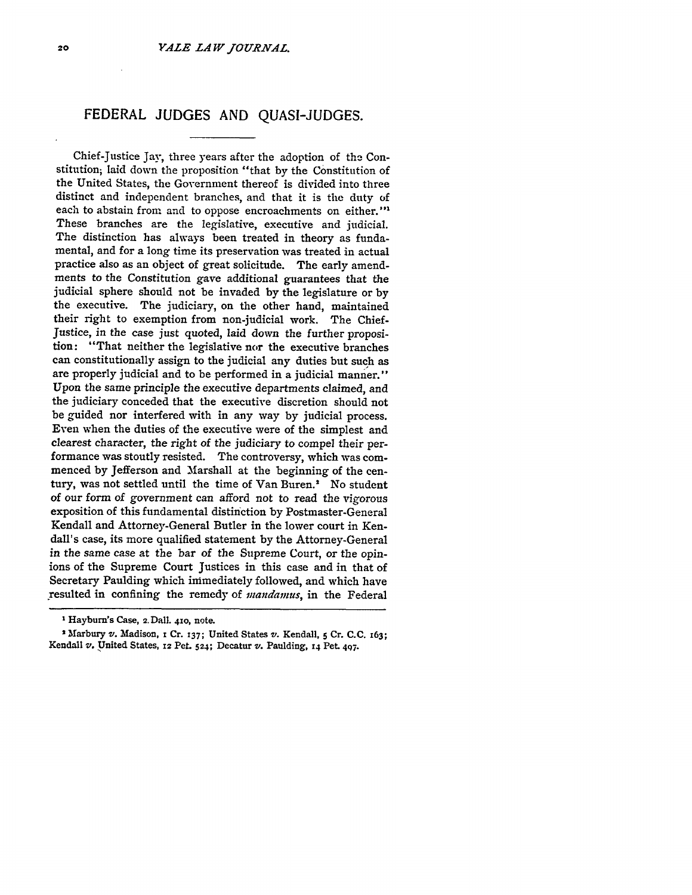## FEDERAL **JUDGES AND QUASI-JUDGES.**

Chief-Justice Jay, three years after the adoption of the Constitution; laid down the proposition "that by the Constitution of the United States, the Government thereof is divided into three distinct and independent branches, and that it is the duty of each to abstain from and to oppose encroachments on either."' These branches are the legislative, executive and judicial. The distinction has always been treated in theory as fundamental, and for a long time its preservation was treated in actual practice also as an object of great solicitude. The early amendments to the Constitution gave additional guarantees that the judicial sphere should not be invaded by the legislature or by the executive. The judiciary, on the other hand, maintained their right to exemption from non-judicial work. The Chief-Justice, in the case just quoted, laid down the further proposition: "That neither the legislative nor the executive branches can constitutionally assign to the judicial any duties but such as are properly judicial and to be performed in a judicial manner." Upon the same principle the executive departments claimed, and the judiciary conceded that the executive discretion should not be guided nor interfered with in any way by judicial process. Even when the duties of the executive were of the simplest and clearest character, the right of the judiciary to compel their performance was stoutly resisted. The controversy, which was commenced by Jefferson and Marshall at the beginning of the century, was not settled until the time of Van Buren.' No student of our form of government can afford not to read the vigorous exposition of this fundamental distinction by Postmaster-General Kendall and Attorney-General Butler in the lower court in Kendall's case, its more qualified statement by the Attorney-General in the same case at the bar of the Supreme Court, or the opinions of the Supreme Court Justices in this case and in that of Secretary Paulding which immediately followed, and which have resulted in confining the remedy of *mandamus*, in the Federal

<sup>&#</sup>x27;Hayburn's Case, 2. Dall. **41o,** note.

**<sup>2</sup>**Marbury v. Madison, **i** Cr. **137;** United States v. Kendall, **5** Cr. **C.C. 163;** Kendall **v.** United States, 12 Pet. **524;** Decatur v. Paulding, **14** Pet. 497.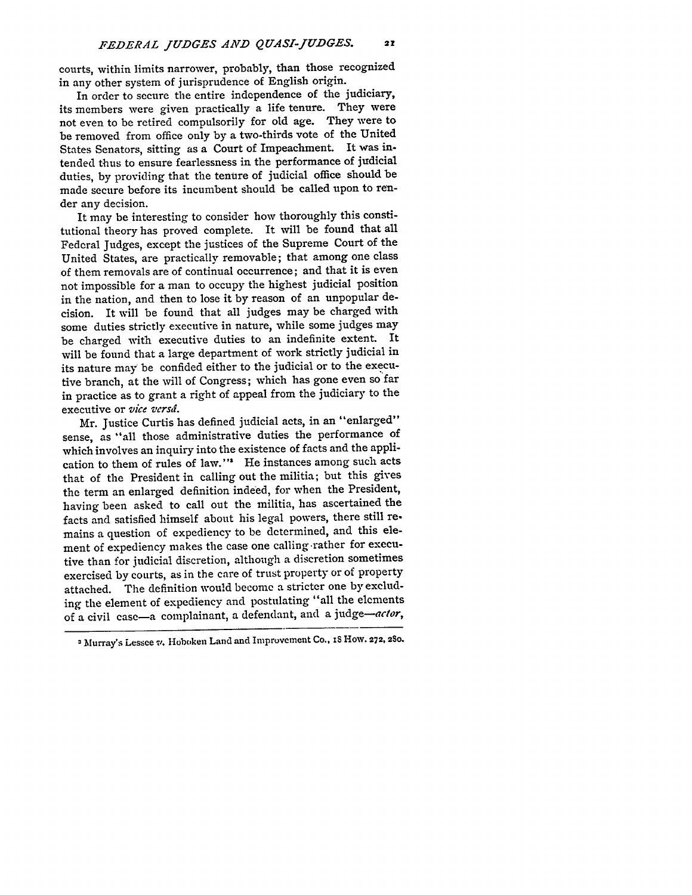courts, within limits narrower, probably, than those recognized in any other system of jurisprudence of English origin.

In order to secure the entire independence of the judiciary, its members were given practically a life tenure. They were not even to be retired compulsorily for old age. They were to be removed from office only by a two-thirds vote of the United States Senators, sitting as a Court of Impeachment. It was intended thus to ensure fearlessness in the performance of judicial duties, by providing that the tenure of judicial office should be made secure before its incumbent should be called upon to render any decision.

It may be interesting to consider how thoroughly this constitutional theory has proved complete. It will be found that all Federal Judges, except the justices of the Supreme Court of the United States, are practically removable; that among one class of them removals are of continual occurrence; and that it is even not impossible for a man to occupy the highest judicial position in the nation, and then to lose it by reason of an unpopular decision. It will be found that all judges may be charged with some duties strictly executive in nature, while some judges may be charged with executive duties to an indefinite extent. It will be found that a large department of work strictly judicial in its nature may be confided either to the judicial or to the executive branch, at the will of Congress; which has gone even so far in practice as to grant a right of appeal from the judiciary to the executive or *vice versd.*

Mr. Justice Curtis has defined judicial acts, in an "enlarged" sense, as "all those administrative duties the performance of which involves an inquiry into the existence of facts and the application to them of rules of law."' He instances among such acts that of the President in calling out the militia; but this gives the term an enlarged definition indeed, for when the President, having been asked to call out the militia, has ascertained the facts and satisfied himself about his legal powers, there still remains a question of expediency to be determined, and this element of expediency makes the case one calling rather for executive than for judicial discretion, although a discretion sometimes exercised by courts, as in the care of trust property or of property attached. The definition would become a stricter one by excluding the element of expediency and postulating "all the elements of a civil case-a complainant, a defendant, and a *judge-actor,*

Murray's Lessee v. Hoboken Land and Improvement Co., IS How. **272, 280.**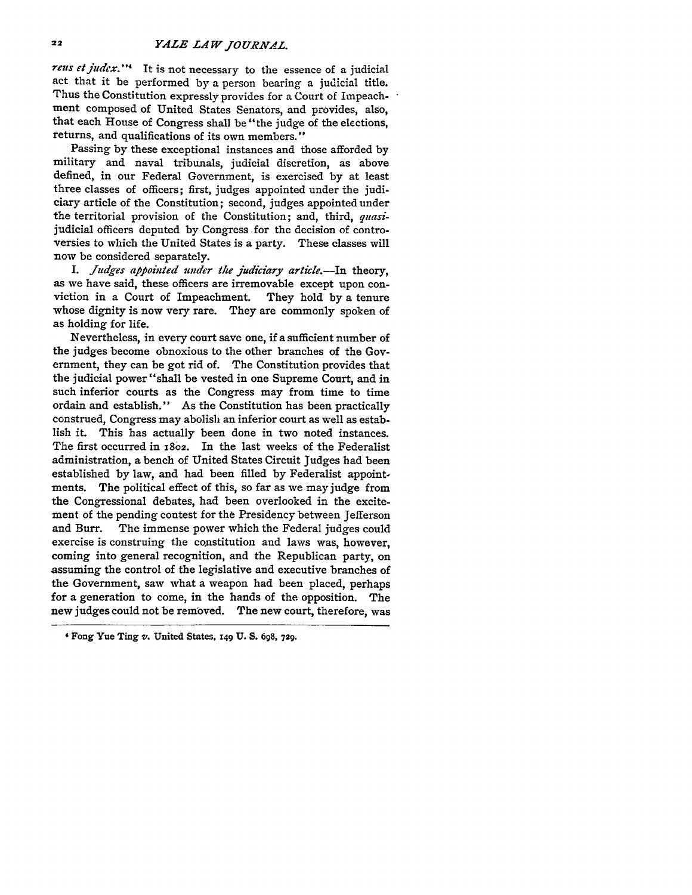*reus et judex.*"<sup>4</sup> It is not necessary to the essence of a judicial act that it be performed **by** a person bearing a judicial title. Thus the Constitution expressly provides for a Court of Impeachment composed of United States Senators, and provides, also, that each House of Congress shall be "the judge of the elections, returns, and qualifications of its own members."

Passing by these exceptional instances and those afforded by military and naval tribunals, judicial discretion, as above defined, in our Federal Government, is exercised by at least three classes of officers; first, judges appointed under the judiciary article of the Constitution; second, judges appointed under the territorial provision of the Constitution; and, third, *quasi*judicial officers deputed by Congress for the decision of controversies to which the United States is a party. These classes will now be considered separately.

I. Judges appointed under the judiciary article.-In theory, as we have said, these officers are irremovable except upon conviction in a Court of Impeachment. They hold by a tenure whose dignity is now very rare. They are commonly spoken of as holding for life.

Nevertheless, in every court save one, if a sufficient number of the judges become obnoxious to the other branches of the Government, they can be got rid of. The Constitution provides that the judicial power "shall be vested in one Supreme Court, and in such inferior courts as the Congress may from time to time ordain and establish." As the Constitution has been practically construed, Congress may abolish an inferior court as well as establish it. This has actually been done in two noted instances. The first occurred in **1802.** In the last weeks of the Federalist administration, a bench of United States Circuit Judges had been established by law, and had been filled by Federalist appointments. The political effect of this, so far as we may judge from the Congressional debates, had been overlooked in the excitement of the pending contest for the Presidency between Jefferson and Burr. The immense power which the Federal judges could exercise is construing the constitution and laws was, however, coming into general recognition, and the Republican party, on assuming the control of the legislative and executive branches of the Government, saw what a weapon had been placed, perhaps for a generation to come, in the hands of the opposition. The new judges could not be removed. The new court, therefore, was

**<sup>&#</sup>x27;Fong Yue Ting** v'. **United States, 149 U. S. 698, 729.**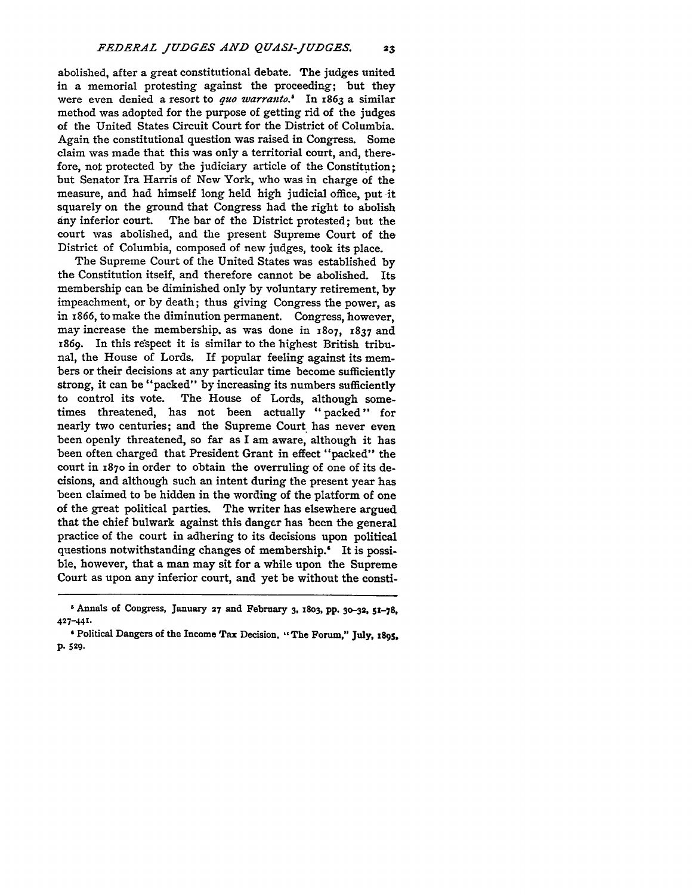abolished, after a great constitutional debate. The judges united in a memorial protesting against the proceeding; but they were even denied a resort to *quo warranto.'* In **x863** a similar method was adopted for the purpose of getting rid of the judges of the United States Circuit Court for the District of Columbia. Again the constitutional question was raised in Congress. Some claim was made that this was only a territorial court, and, therefore, not protected **by** the judiciary article of the Constitution; but Senator Ira Harris of New York, who was in charge of the measure, and had himself long held high judicial office, put it squarely on the ground that Congress had the right to abolish any inferior court. The bar of the District protested; but the court was abolished, and the present Supreme Court of the District of Columbia, composed of new judges, took its place.

The Supreme Court of the United States was established **by** the Constitution itself, and therefore cannot be abolished. Its membership can be diminished only **by** voluntary retirement, **by** impeachment, or **by** death; thus giving Congress the power, as in **x866,** to make the diminution permanent. Congress, however, may increase the membership, as was done in **1807,** 1837 and **x869.** In this respect it is similar to the highest British tribunal, the House of Lords. If popular feeling against its members or their decisions at any particular time become sufficiently strong, it can be "packed" **by** increasing its numbers sufficiently to control its vote. The House of Lords, although sometimes threatened, has not been actually "packed **"** for nearly two centuries; and the Supreme Court has never even been openly threatened, so far as I am aware, although it has been often charged that President Grant in effect "packed" the court in **1870** in order to obtain the overruling of one of its decisions, and although such an intent during the present year has been claimed to be hidden in the wording of the platform of one of the great political parties. The writer has elsewhere argued that the chief bulwark against this danger has been the general practice of the court in adhering to its decisions upon political questions notwithstanding changes of membership.' It is possible, however, that a man may sit for a while upon the Supreme Court as upon any inferior court, and yet be without the consti-

**a** Annals of Congress, January **27** and February **3, 1803,** PP. **30-32, 51-78, 427-441.**

<sup>&#</sup>x27; Political Dangers of the Income Tax Decision. -The Forum," **July, x895, p. 529.**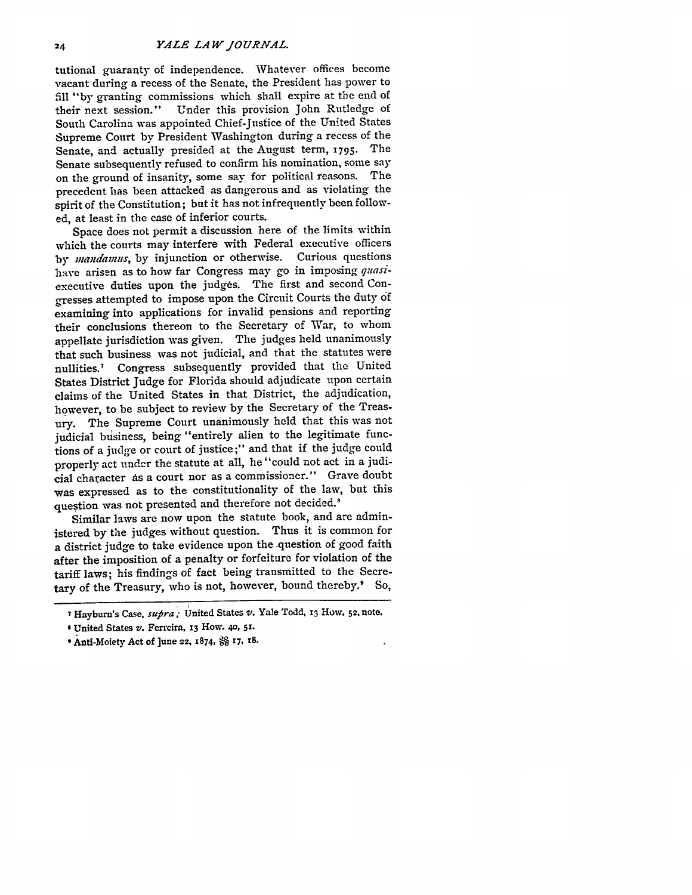tutional guaranty of independence. Whatever offices become vacant during a recess of the Senate, the President has power to fill "by granting commissions which shall expire at the end of their next session." Under this provision John Rutledge of South Carolina was appointed Chief-Justice of the United States Supreme Court by President Washington during a recess of the Senate, and actually presided at the August term, 1795. The Senate subsequently refused to confirm his nomination, some say on the ground of insanity, some say for political reasons. The precedent has been attacked as dangerous and as violating the spirit of the Constitution; but it has not infrequently been followed, at least in the case of inferior courts.

Space does not permit a discussion here of the limits within which the courts may interfere with Federal executive officers by *mandamuzs,* by injunction or otherwise. Curious questions have arisen as to how far Congress may go in imposing *quasi*executive duties upon the judges. The first and second Congresses attempted to impose upon the Circuit Courts the duty of examining into applications for invalid pensions and reporting their conclusions thereon to the Secretary of War, to whom appellate jurisdiction was given. The judges held unanimously that such business was not judicial, and that the statutes were nullities." Congress subsequently provided that the United States District Judge for Florida should adjudicate upon certain claims of the United States in that District, the adjudication, however, to be subject to review by the Secretary of the Treasury. The Supreme Court unanimously held that this was not judicial business, being "entirely alien to the legitimate functions of a judge or court of justice;" and that if the judge could properly act under the statute at all, he "could not act in a judicial character ds a court nor as a commissioner." Grave doubt was expressed as to the constitutionality of the law, but this question was not presented and therefore not decided.'

Similar laws are now upon the statute book, and are administered by the judges without question. Thus it is common for a district judge to take evidence upon the question of good faith after the imposition of a penalty or forfeiture for violation of the tariff laws; his findings of fact being transmitted to the Secretary of the Treasury, who is not, however, bound thereby.' So,

**<sup>7</sup>** Hayburn's Case, *sufira,* United States **v.** Ya!e Todd, **13** How. **52,** note.

**<sup>8</sup>** United States v. Ferrcira, **13** How. **4o,** 5i.

<sup>&</sup>lt;sup>2</sup> Anti-Moiety Act of lune 22, 1874, §§ 17, 18.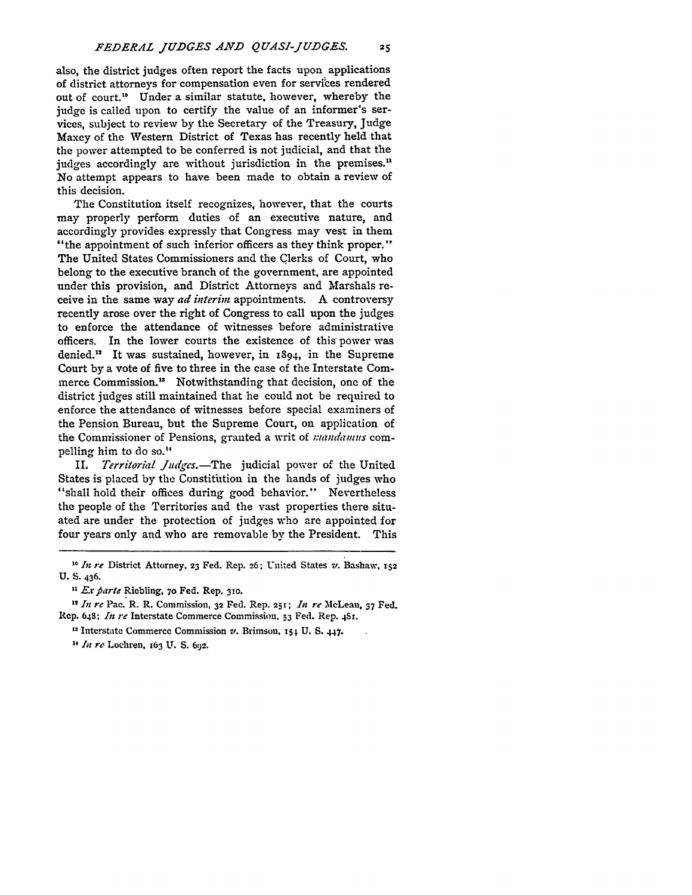also, the district judges often report the facts upon applications of district attorneys for compensation even for servi'ees rendered out of court.'" Under a similar statute, however, whereby the **judge** is called upon to certify the value of an informer's services, subject to review by the Secretary of the Treasury, Judge Maxey of the Western District of Texas has recently held that the power attempted to be conferred is not judicial, and that the judges accordingly are without jurisdiction in the premises.<sup>11</sup> No attempt appears to have been made to obtain a review of this decision.

The Constitution itself recognizes, however, that the courts may properly perform duties of an executive nature, and accordingly provides expressly that Congress may vest in them "the appointment of such inferior officers as they think proper." The United States Commissioners and the Clerks of Court, who belong to the executive branch of the government, are appointed under this provision, and District Attorneys and Marshals receive in the same way *ad interim* appointments. A controversy recently arose over the right of Congress to call upon the judges to enforce the attendance of witnesses before administrative officers. In the lower courts the existence of this power was denied." It was sustained, however, in 1894, in the Supreme Court by a vote of five to three in the case of the Interstate Commerce Commission." Notwithstanding that decision, one of the district judges still maintained that he could not be required to enforce the attendance of witnesses before special examiners of the Pension Bureau, but the Supreme Court, on application of the Commissioner of Pensions, granted a writ of *iandamuts* compelling him to do so."

II. Territorial Judges.-The judicial power of the United States is placed by the Constitittion in the hands of judges who "shall hold their offices during good behavior." Nevertheless the people of the Territories and the vast properties there situated are under the protection of judges who are appointed for four years only and who are removable by the President. This

- **"3** Interstate Commerce Commission *v.* Brimson, **x5 U. S. 447.**
- "4 *In re.* Lochren, 163 **U. S. 692.**

**<sup>10</sup>** *it* re District Attorney. **23** Fed. Rep. **26;** United States v. Bashaw. **<sup>152</sup> U.** S. 436.

*<sup>&</sup>quot; Exparte* Riebling, **70** Fed. Rep. **310.**

*<sup>12</sup> In re* Pac. R. R. Commission, **32** Fed. Rep. **251;** *In re* McLean, **37** Fed. **Rep.** 648; *In re* Interstate Commerce Commission, **53** Fed. Rep. 4Sx.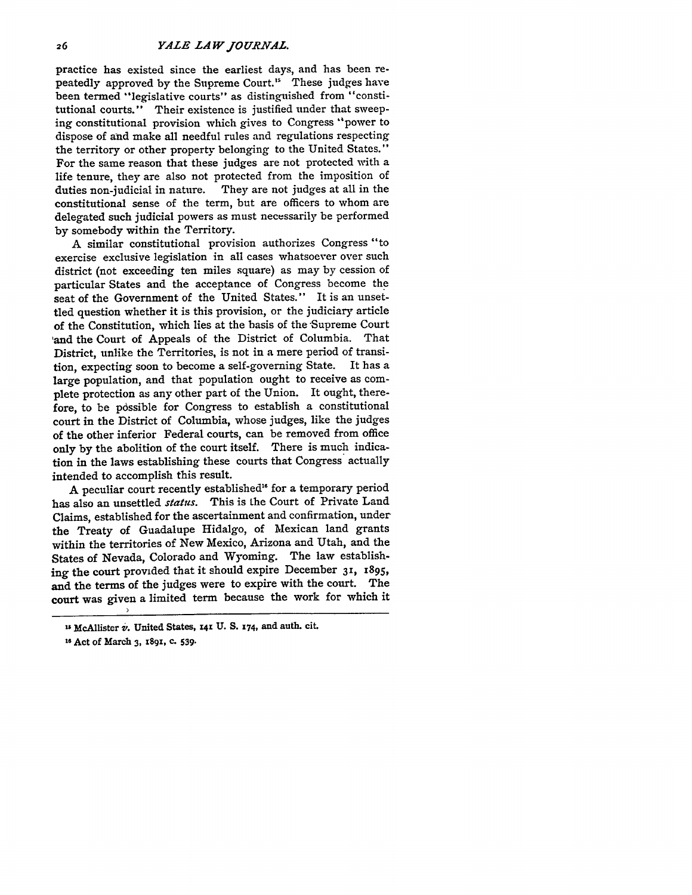practice has existed since the earliest days, and has been repeatedly approved by the Supreme Court." These judges have been termed "legislative courts" as distinguished from "constitutional courts." Their existence is justified under that sweeping constitutional provision which gives to Congress "power to dispose of and make all needful rules and regulations respecting the territory or other property belonging to the United States." For the same reason that these judges are not protected with a life tenure, they are also not protected from the imposition of duties non-judicial in nature. They are not judges at all in the constitutional sense of the term, but are officers to whom are delegated such judicial powers as must necessarily be performed by somebody within the Territory.

A similar constitutional provision authorizes Congress "to exercise exclusive legislation in all cases whatsoever over such district (not exceeding ten miles square) as may by cession of particular States and the acceptance of Congress become the seat of the Government of the United States." It is an unsettled question whether it is this provision, or the judiciary article of the Constitution, which lies at the basis of the -Supreme Court land the Court of Appeals of the District of Columbia. That District, unlike the Territories, is not in a mere period of transition expecting soon to become a self-governing State. It has a tion, expecting soon to become a self-governing State. large population, and that population ought to receive as complete protection as any other part of the Union. It ought, therefore, to be possible for Congress to establish a constitutional court in the District of Columbia, whose judges, like the judges of the other inferior Federal courts, can be removed from office only by the abolition of the court itself. There is much indication in the laws establishing these courts that Congress actually intended to accomplish this result.

A peculiar court recently established<sup>16</sup> for a temporary period has also an unsettled *status.* This is Lhe Court of Private Land Claims, established for the ascertainment and confirmation, under the Treaty of Guadalupe Hidalgo, of Mexican land grants within the territories of New Mexico, Arizona and Utah, and the States of Nevada, Colorado and Wyoming. The law establishing the court provided that it should expire December **31,** 1895, and the terms of the judges were to expire with the court. The court was given a limited term because the work for which it

**i** McAllister *V.* United States, **141 U. S. z74,** and auth. cit.

**<sup>16</sup>** Act of March **3, 189x, c. 539.**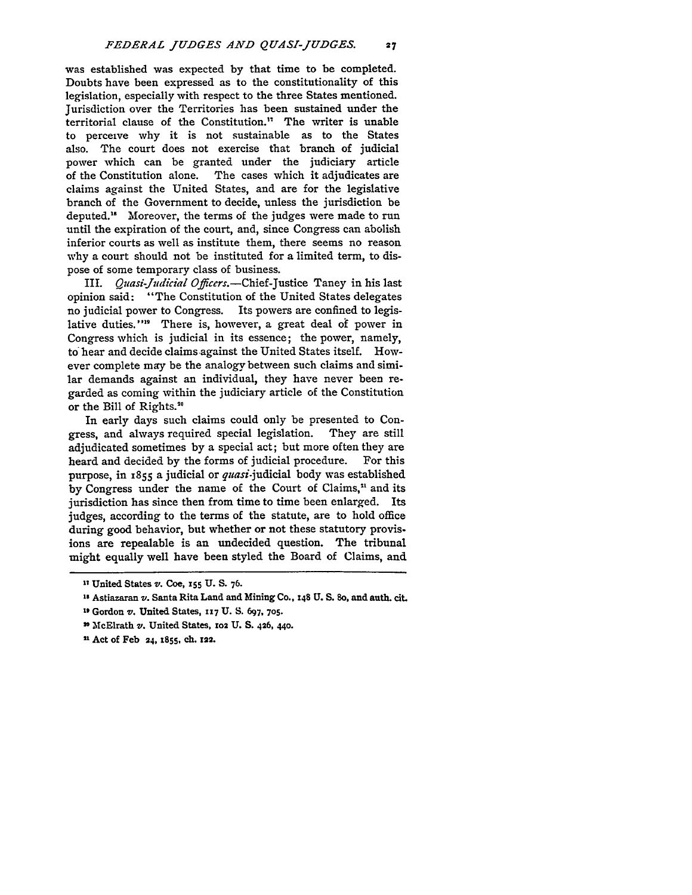was established was expected by that time to be completed. Doubts have been expressed as to the constitutionality of this legislation, especially with respect to the three States mentioned. Jurisdiction over the Territories has been sustained under the territorial clause of the Constitution." The writer is unable to perceive why it is not sustainable as to the States also. The court does not exercise that branch of judicial power which can be granted under the judiciary article of the Constitution alone. The cases which it adjudicates are claims against the United States, and are for the legislative branch of the Government to decide, unless the jurisdiction be deputed.<sup>18</sup> Moreover, the terms of the judges were made to run until the expiration of the court, and, since Congress can abolish inferior courts as well as institute them, there seems no reason why a court should not be instituted for a limited term, to dispose of some temporary class of business.

III. *Quasi-Judicial Officers*.—Chief-Justice Taney in his last opinion said: "The Constitution of the United States delegates no judicial power to Congress. Its powers are confined to legislative duties."<sup>"</sup> There is, however, a great deal of power in Congress which is judicial in its essence; the power, namely, to hear and decide claims against the United States itself. However complete may be the analogy between such claims and similar demands against an individual, they have never been regarded as coming within the judiciary article of the Constitution or the Bill of Rights.20

In early days such claims could only be presented to Congress, and always required special legislation. They are still adjudicated sometimes **by** a special act; but more often they are heard and decided **by** the forms of judicial procedure. For this purpose, in 1855 a judicial or quasi-judicial body was established **by** Congress under the name of the Court of Claims,"' and its jurisdiction has since then from time to time been enlarged. Its judges, according to the terms of the statute, are to hold office during good behavior, but whether or not these statutory provisions are repealable is an undecided question. The tribunal might equally well have been styled the Board of Claims, and

**<sup>1</sup>**United States v. Coe, **x55 U. S. 76.**

**<sup>18</sup>**Astiazaran **v. Santa Rita Land** and Mining Co., [48 **U. S. So,** and auth. **ciL**

<sup>&</sup>quot;Gordon v. United States, **17 U. S.** 697, **705.**

<sup>&</sup>quot;McElrath v. United States, **[02 U. S.** 426, **44o.**

<sup>&</sup>quot;Act of Feb **24, 1855,** ch. **[22.**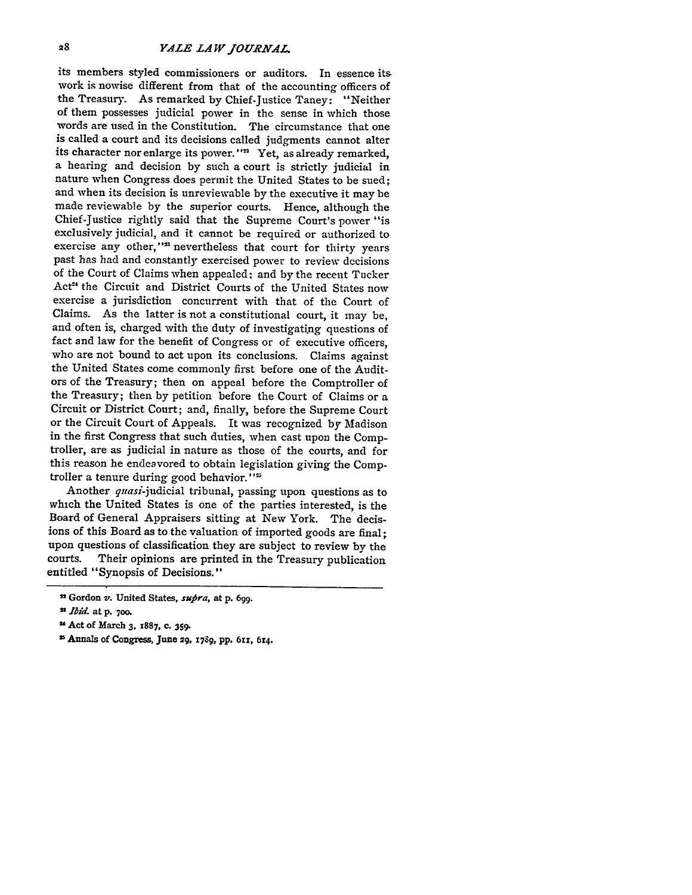its members styled commissioners or auditors. In essence its work is nowise different from that of the accounting officers of the Treasury. As remarked by Chief-Justice Taney: "Neither of them possesses judicial power in the sense in which those words are used in the Constitution. The circumstance that one is called a court and its decisions called judgments cannot alter its character nor enlarge its power. **""** Yet, as already remarked, a hearing and decision by such a court is strictly judicial in nature when Congress does permit the United States to be sued; and when its decision is unreviewable by the executive it may be made reviewable by the superior courts. Hence, although the Chief-Justice rightly said that the Supreme Court's power "is exclusively judicial, and it cannot be required or authorized to exercise any other,"<sup>3</sup> nevertheless that court for thirty years past has had and constantly exercised power to review decisions of the Court of Claims when appealed: and by the recent Tucker **Act"** the Circuit and District Courts of the United States now exercise a jurisdiction concurrent with that of the Court of Claims. As the latter is not a constitutional court, it may be, and often is, charged with the duty of investigating questions of fact and law for the benefit of Congress or of executive officers, who are not bound to act upon its conclusions. Claims against the United States come commonly first before one of the Auditors of the Treasury; then on appeal before the Comptroller of the Treasury; then by petition before the Court of Claims or a Circuit or District Court; and, finally, before the Supreme Court or the Circuit Court of Appeals. It was recognized by Madison in the first Congress that such duties, when cast upon the Comptroller, are as judicial in nature as those of the courts, and for this reason he endeavored to obtain legislation giving the Comptroller a tenure during good behavior."'

Another quasi-judicial tribunal, passing upon questions as to which the United States is one of the parties interested, is the Board of General Appraisers sitting at New York. The decisions of this Board as to the valuation of imported goods are final: upon questions of classification they are subject to review by the courts. Their opinions are printed in the Treasury publication entitled "Synopsis of Decisions."

<sup>22</sup> Gordon v. United **States,** *sufira,* **at p. 699.**

<sup>2</sup> *Ibid.* at p. **700.**

**U Act of March 3, 1887, c. 359.**

<sup>2</sup> **Annals of Congress, June 29, 1789, pp. 6rx, 614.**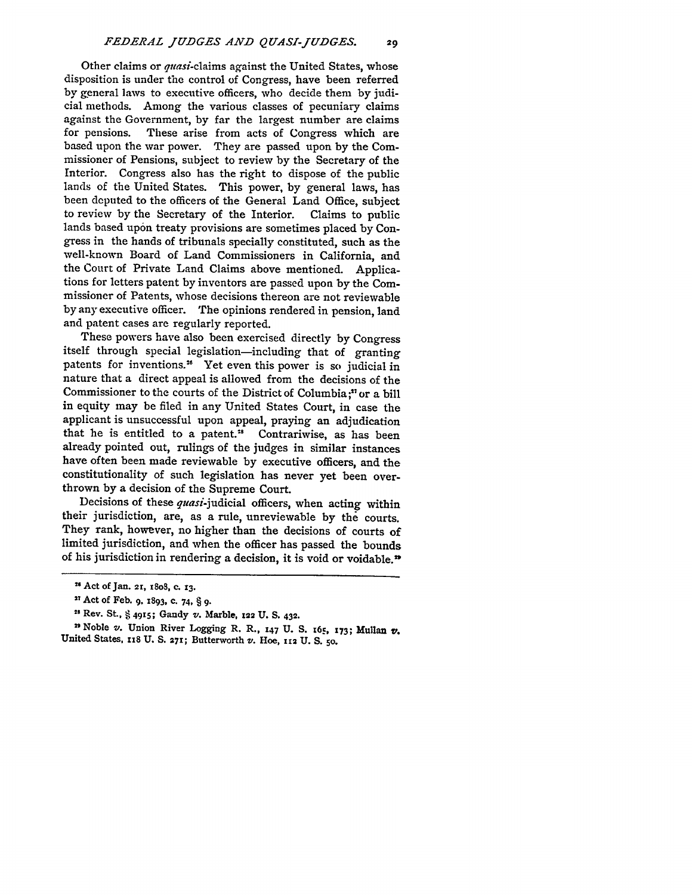Other claims or *quasi-claims* against the United States, whose disposition is under the control of Congress, have been referred by general laws to executive officers, who decide them **by** judicial methods. Among the various classes of pecuniary claims against the Government, by far the largest number are claims for pensions. These arise from acts of Congress which are These arise from acts of Congress which are based upon the war power. They are passed upon by the Commissioner of Pensions, subject to review by the Secretary of the Interior. Congress also has the right to dispose of the public lands of the United States. This power, by general laws, has been deputed to the officers of the General Land Office, subject to review by the Secretary of the Interior. Claims to public lands based upon treaty provisions are sometimes placed by Congress in the hands of tribunals specially constituted, such as the well-known Board of Land Commissioners in California, and the Court of Private Land Claims above mentioned. Applications for letters patent by inventors are passed upon by the Commissioner of Patents, whose decisions thereon are not reviewable by any executive officer. The opinions rendered in pension, land and patent cases are regularly reported.

These powers have also been exercised directly by Congress itself through special legislation-including that of granting patents for inventions." Yet even this power is so judicial in nature that a direct appeal is allowed from the decisions of the Commissioner to the courts of the District of Columbia **;"** or a bill in equity may be filed in any United States Court, in case the applicant is unsuccessful upon appeal, praying an adjudication that he is entitled to a patent.<sup>28</sup> Contrariwise, as has been already pointed out, rulings of the judges in similar instances have often been made reviewable by executive officers, and the constitutionality of such legislation has never yet been overthrown by a decision of the Supreme Court.

Decisions of these quasi-judicial officers, when acting within their jurisdiction, are, as a rule, unreviewable by the courts. They rank, however, no higher than the decisions of courts of limited jurisdiction, and when the officer has passed the bounds of his jurisdiction in rendering a decision, it is void or voidable.<sup>20</sup>

<sup>21</sup> Act of Jan. **21, 1oS, c. 13.**

**<sup>2?</sup>** Act of Feb. **9, 1893,** c. 74, **§ 9.**

**<sup>28</sup>**Rev. St., 1 **4915;** Gandy *v.* Marble, **122 U. S. 432.**

**<sup>28</sup>**Noble v. Union River Logging R. R., **47 U. S.** 16F, **173;** Mullan *V.* United States, 118 U. S. 271; Butterworth v. Hoe, 112 U. S. 50.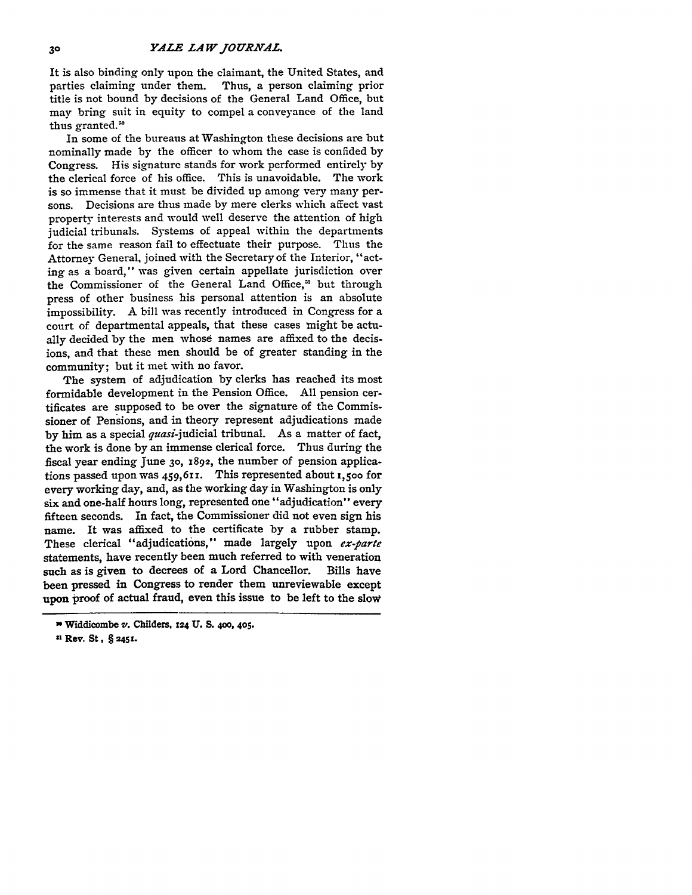It is also binding only upon the claimant, the United States, and parties claiming under them. Thus, a person claiming prior title is not bound **by** decisions of the General Land Office, but may bring suit in equity to compel a conveyance of the land thus granted."

In some of the bureaus at Washington these decisions are but nominally made **by** the officer to whom the case is confided **by Congress. His** signature stands for work performed entirely **by** the clerical force of his office. This is unavoidable. The work is so immense that it must be divided up among very many persons. Decisions are thus made **by** mere clerks which affect vast property interests and would well deserve the attention of high judicial tribunals. Systems of appeal within the departments for the same reason fail to effectuate their purpose. Thus the Attorney General, joined with the Secretary of the Interior, "acting as a board," was given certain appellate jurisdiction over the Commissioner of the General Land Office,"' but through press of other business his personal attention is an absolute impossibility. A bill was recently introduced in Congress for a court of departmental appeals, that these cases might be actually decided **by** the men whose names are affixed to the decisions, and that these men should be of greater standing in the community; but it met with no favor.

The system of adjudication **by** clerks has reached its most formidable development in the Pension Office. **All** pension certificates are supposed to be over the signature of the Commissioner of Pensions, and in theory represent adjudications made **by** him as a special quasi-judicial tribunal. As a matter of fact, the work is done by an immense clerical force. Thus during the fiscal year ending June **30, 1892,** the number of pension applications passed upon was  $459,611$ . This represented about  $1,500$  for every working day, and, as the working day in Washington is only six and one-half hours long, represented one "adjudication" every fifteen seconds. In fact, the Commissioner did not even sign his name. It was affixed to the certificate **by** a rubber stamp. These clerical "adjudications," made largely upon ex-parte statements, have recently been much referred to with veneration such as is given to decrees of a Lord Chancellor. Bills have been pressed in Congress to render them unreviewable except upon proof of actual fraud, even this issue to be left to the slow

**<sup>3</sup>** Widdicombe v. Childers, **124 U. S. 400, 405.**

**s'** Rev. St, **§ 2451.**